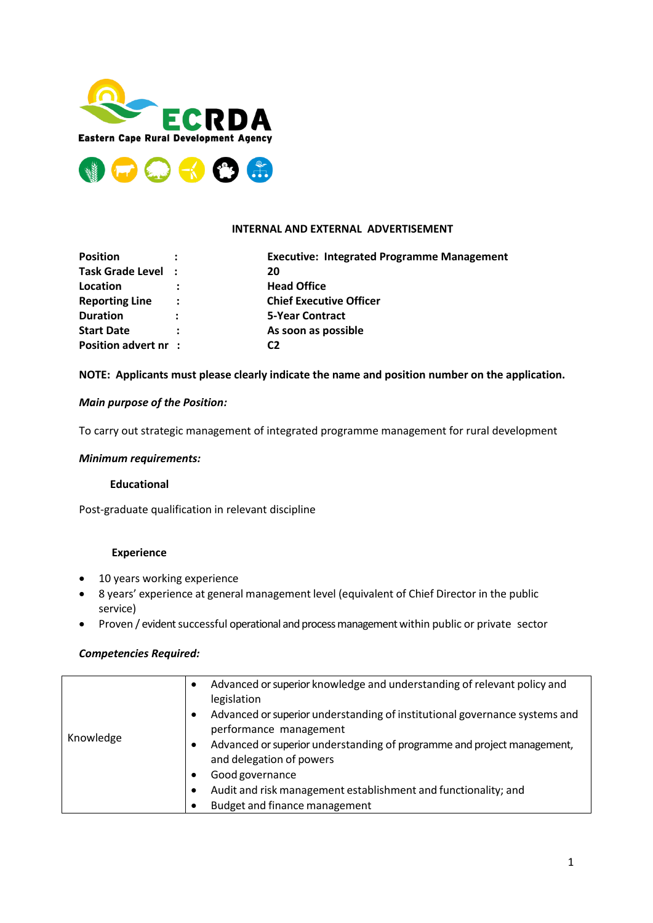



## **INTERNAL AND EXTERNAL ADVERTISEMENT**

| <b>Position</b>       |                      | <b>Executive: Integrated Programme Management</b> |
|-----------------------|----------------------|---------------------------------------------------|
| Task Grade Level :    |                      | 20                                                |
| Location              |                      | <b>Head Office</b>                                |
| <b>Reporting Line</b> | $\ddot{\phantom{a}}$ | <b>Chief Executive Officer</b>                    |
| <b>Duration</b>       | $\ddot{\phantom{a}}$ | <b>5-Year Contract</b>                            |
| <b>Start Date</b>     |                      | As soon as possible                               |
| Position advert nr :  |                      | C2                                                |

## **NOTE: Applicants must please clearly indicate the name and position number on the application.**

## *Main purpose of the Position:*

To carry out strategic management of integrated programme management for rural development

#### *Minimum requirements:*

#### **Educational**

Post-graduate qualification in relevant discipline

## **Experience**

- 10 years working experience
- 8 years' experience at general management level (equivalent of Chief Director in the public service)
- Proven / evident successful operational and process management within public or private sector

## *Competencies Required:*

|           | Advanced or superior knowledge and understanding of relevant policy and<br>$\bullet$<br>legislation              |
|-----------|------------------------------------------------------------------------------------------------------------------|
|           | Advanced or superior understanding of institutional governance systems and<br>performance management             |
| Knowledge | Advanced or superior understanding of programme and project management,<br>$\bullet$<br>and delegation of powers |
|           | Good governance                                                                                                  |
|           | Audit and risk management establishment and functionality; and<br>- 0                                            |
|           | Budget and finance management                                                                                    |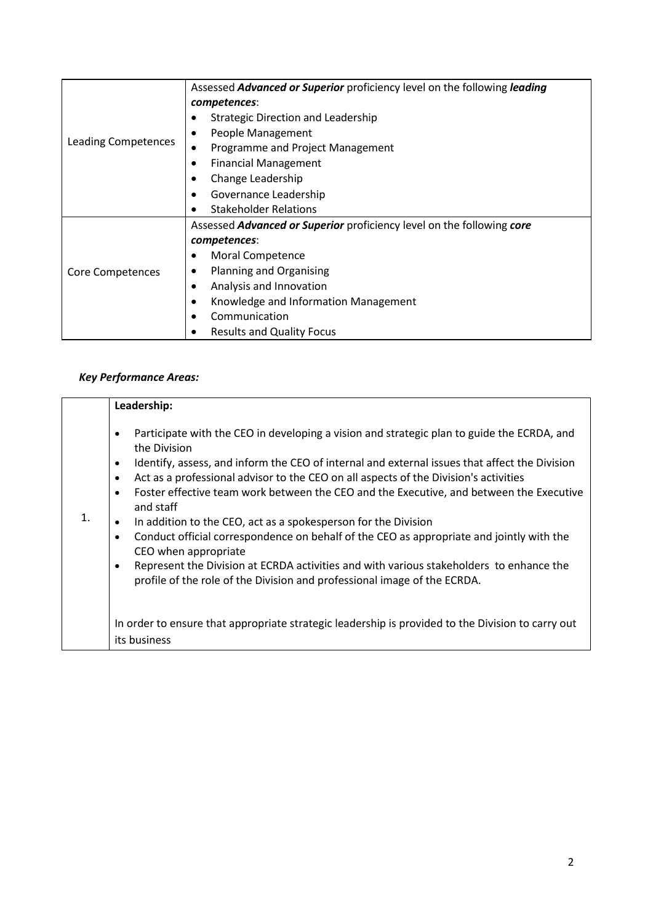|                     | Assessed <b>Advanced or Superior</b> proficiency level on the following leading |
|---------------------|---------------------------------------------------------------------------------|
|                     | competences:                                                                    |
|                     | <b>Strategic Direction and Leadership</b>                                       |
|                     | People Management                                                               |
| Leading Competences | Programme and Project Management                                                |
|                     | <b>Financial Management</b>                                                     |
|                     | Change Leadership                                                               |
|                     | Governance Leadership                                                           |
|                     | <b>Stakeholder Relations</b>                                                    |
|                     | Assessed <b>Advanced or Superior</b> proficiency level on the following core    |
|                     | competences:                                                                    |
|                     | Moral Competence                                                                |
| Core Competences    | Planning and Organising                                                         |
|                     | Analysis and Innovation                                                         |
|                     | Knowledge and Information Management                                            |
|                     | Communication                                                                   |
|                     | <b>Results and Quality Focus</b>                                                |

# *Key Performance Areas:*

|                | Leadership:                                                                                                                                                                                                                                                                                                                                                                                                                                                                                                                                                                                                                                                                                                                                                                                                                            |
|----------------|----------------------------------------------------------------------------------------------------------------------------------------------------------------------------------------------------------------------------------------------------------------------------------------------------------------------------------------------------------------------------------------------------------------------------------------------------------------------------------------------------------------------------------------------------------------------------------------------------------------------------------------------------------------------------------------------------------------------------------------------------------------------------------------------------------------------------------------|
| $\mathbf{1}$ . | Participate with the CEO in developing a vision and strategic plan to guide the ECRDA, and<br>٠<br>the Division<br>Identify, assess, and inform the CEO of internal and external issues that affect the Division<br>٠<br>Act as a professional advisor to the CEO on all aspects of the Division's activities<br>$\bullet$<br>Foster effective team work between the CEO and the Executive, and between the Executive<br>$\bullet$<br>and staff<br>In addition to the CEO, act as a spokesperson for the Division<br>Conduct official correspondence on behalf of the CEO as appropriate and jointly with the<br>$\bullet$<br>CEO when appropriate<br>Represent the Division at ECRDA activities and with various stakeholders to enhance the<br>$\bullet$<br>profile of the role of the Division and professional image of the ECRDA. |
|                | In order to ensure that appropriate strategic leadership is provided to the Division to carry out                                                                                                                                                                                                                                                                                                                                                                                                                                                                                                                                                                                                                                                                                                                                      |
|                | its business                                                                                                                                                                                                                                                                                                                                                                                                                                                                                                                                                                                                                                                                                                                                                                                                                           |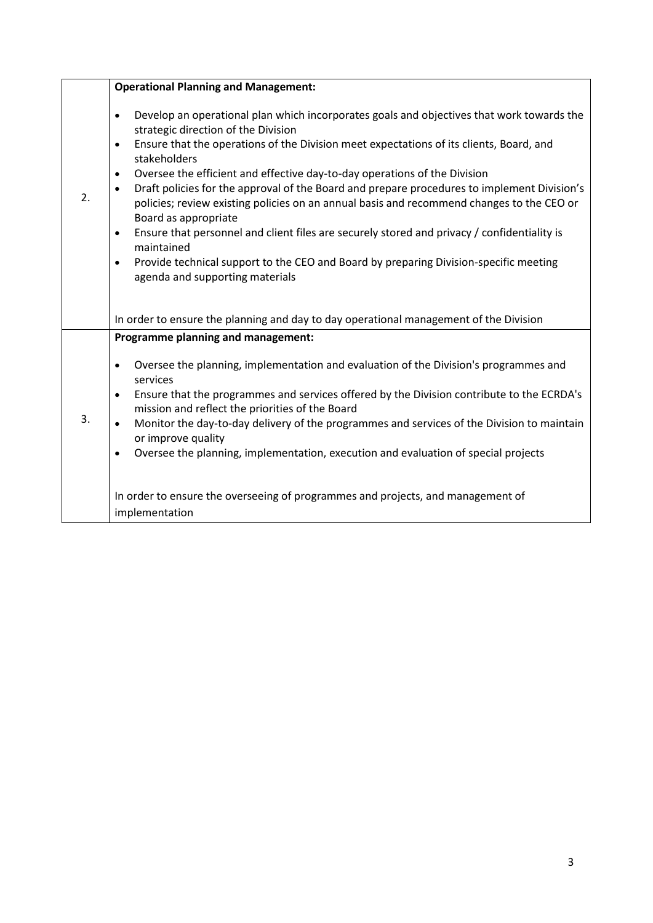|    | <b>Operational Planning and Management:</b>                                                                                                                                                                                                                                                                                                                                                                                                                                                                                                                                                                                                                                                                                                                                                                                                                 |
|----|-------------------------------------------------------------------------------------------------------------------------------------------------------------------------------------------------------------------------------------------------------------------------------------------------------------------------------------------------------------------------------------------------------------------------------------------------------------------------------------------------------------------------------------------------------------------------------------------------------------------------------------------------------------------------------------------------------------------------------------------------------------------------------------------------------------------------------------------------------------|
| 2. | Develop an operational plan which incorporates goals and objectives that work towards the<br>$\bullet$<br>strategic direction of the Division<br>Ensure that the operations of the Division meet expectations of its clients, Board, and<br>٠<br>stakeholders<br>Oversee the efficient and effective day-to-day operations of the Division<br>$\bullet$<br>Draft policies for the approval of the Board and prepare procedures to implement Division's<br>$\bullet$<br>policies; review existing policies on an annual basis and recommend changes to the CEO or<br>Board as appropriate<br>Ensure that personnel and client files are securely stored and privacy / confidentiality is<br>$\bullet$<br>maintained<br>Provide technical support to the CEO and Board by preparing Division-specific meeting<br>$\bullet$<br>agenda and supporting materials |
|    | In order to ensure the planning and day to day operational management of the Division                                                                                                                                                                                                                                                                                                                                                                                                                                                                                                                                                                                                                                                                                                                                                                       |
|    | Programme planning and management:                                                                                                                                                                                                                                                                                                                                                                                                                                                                                                                                                                                                                                                                                                                                                                                                                          |
| 3. | Oversee the planning, implementation and evaluation of the Division's programmes and<br>$\bullet$<br>services                                                                                                                                                                                                                                                                                                                                                                                                                                                                                                                                                                                                                                                                                                                                               |
|    | Ensure that the programmes and services offered by the Division contribute to the ECRDA's<br>$\bullet$<br>mission and reflect the priorities of the Board                                                                                                                                                                                                                                                                                                                                                                                                                                                                                                                                                                                                                                                                                                   |
|    | Monitor the day-to-day delivery of the programmes and services of the Division to maintain<br>or improve quality                                                                                                                                                                                                                                                                                                                                                                                                                                                                                                                                                                                                                                                                                                                                            |
|    | Oversee the planning, implementation, execution and evaluation of special projects<br>$\bullet$                                                                                                                                                                                                                                                                                                                                                                                                                                                                                                                                                                                                                                                                                                                                                             |
|    | In order to ensure the overseeing of programmes and projects, and management of<br>implementation                                                                                                                                                                                                                                                                                                                                                                                                                                                                                                                                                                                                                                                                                                                                                           |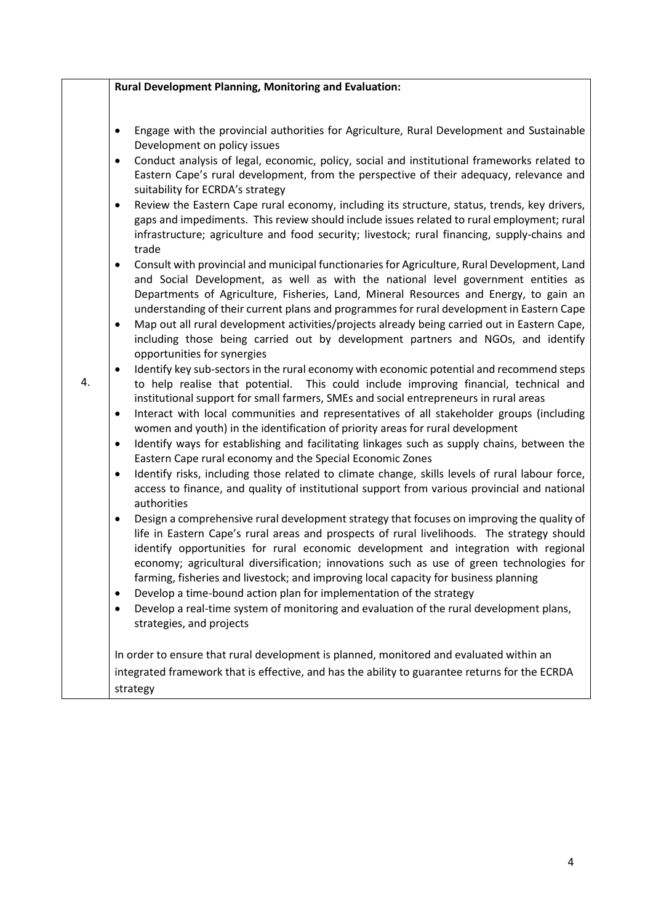|    | <b>Rural Development Planning, Monitoring and Evaluation:</b>                                                                                                                                                                                                                                                                                                                                                                                                                                                                                                                                                                                                                                                                                                                                                                                                                                                                                                                                                                                                                                                                                                                                                                                                                                                                                                                                                                                                                                                                                                                                                                                                                                                                                                                                                |
|----|--------------------------------------------------------------------------------------------------------------------------------------------------------------------------------------------------------------------------------------------------------------------------------------------------------------------------------------------------------------------------------------------------------------------------------------------------------------------------------------------------------------------------------------------------------------------------------------------------------------------------------------------------------------------------------------------------------------------------------------------------------------------------------------------------------------------------------------------------------------------------------------------------------------------------------------------------------------------------------------------------------------------------------------------------------------------------------------------------------------------------------------------------------------------------------------------------------------------------------------------------------------------------------------------------------------------------------------------------------------------------------------------------------------------------------------------------------------------------------------------------------------------------------------------------------------------------------------------------------------------------------------------------------------------------------------------------------------------------------------------------------------------------------------------------------------|
| 4. | Engage with the provincial authorities for Agriculture, Rural Development and Sustainable<br>٠<br>Development on policy issues<br>Conduct analysis of legal, economic, policy, social and institutional frameworks related to<br>$\bullet$<br>Eastern Cape's rural development, from the perspective of their adequacy, relevance and<br>suitability for ECRDA's strategy<br>Review the Eastern Cape rural economy, including its structure, status, trends, key drivers,<br>$\bullet$<br>gaps and impediments. This review should include issues related to rural employment; rural<br>infrastructure; agriculture and food security; livestock; rural financing, supply-chains and<br>trade<br>Consult with provincial and municipal functionaries for Agriculture, Rural Development, Land<br>$\bullet$<br>and Social Development, as well as with the national level government entities as<br>Departments of Agriculture, Fisheries, Land, Mineral Resources and Energy, to gain an<br>understanding of their current plans and programmes for rural development in Eastern Cape<br>Map out all rural development activities/projects already being carried out in Eastern Cape,<br>$\bullet$<br>including those being carried out by development partners and NGOs, and identify<br>opportunities for synergies<br>Identify key sub-sectors in the rural economy with economic potential and recommend steps<br>$\bullet$<br>to help realise that potential. This could include improving financial, technical and<br>institutional support for small farmers, SMEs and social entrepreneurs in rural areas<br>Interact with local communities and representatives of all stakeholder groups (including<br>$\bullet$<br>women and youth) in the identification of priority areas for rural development |
|    | Identify ways for establishing and facilitating linkages such as supply chains, between the<br>$\bullet$<br>Eastern Cape rural economy and the Special Economic Zones<br>Identify risks, including those related to climate change, skills levels of rural labour force,<br>$\bullet$                                                                                                                                                                                                                                                                                                                                                                                                                                                                                                                                                                                                                                                                                                                                                                                                                                                                                                                                                                                                                                                                                                                                                                                                                                                                                                                                                                                                                                                                                                                        |
|    | access to finance, and quality of institutional support from various provincial and national<br>authorities<br>Design a comprehensive rural development strategy that focuses on improving the quality of<br>٠<br>life in Eastern Cape's rural areas and prospects of rural livelihoods. The strategy should<br>identify opportunities for rural economic development and integration with regional<br>economy; agricultural diversification; innovations such as use of green technologies for                                                                                                                                                                                                                                                                                                                                                                                                                                                                                                                                                                                                                                                                                                                                                                                                                                                                                                                                                                                                                                                                                                                                                                                                                                                                                                              |
|    | farming, fisheries and livestock; and improving local capacity for business planning<br>Develop a time-bound action plan for implementation of the strategy<br>$\bullet$<br>Develop a real-time system of monitoring and evaluation of the rural development plans,<br>٠<br>strategies, and projects                                                                                                                                                                                                                                                                                                                                                                                                                                                                                                                                                                                                                                                                                                                                                                                                                                                                                                                                                                                                                                                                                                                                                                                                                                                                                                                                                                                                                                                                                                         |
|    | In order to ensure that rural development is planned, monitored and evaluated within an<br>integrated framework that is effective, and has the ability to guarantee returns for the ECRDA<br>strategy                                                                                                                                                                                                                                                                                                                                                                                                                                                                                                                                                                                                                                                                                                                                                                                                                                                                                                                                                                                                                                                                                                                                                                                                                                                                                                                                                                                                                                                                                                                                                                                                        |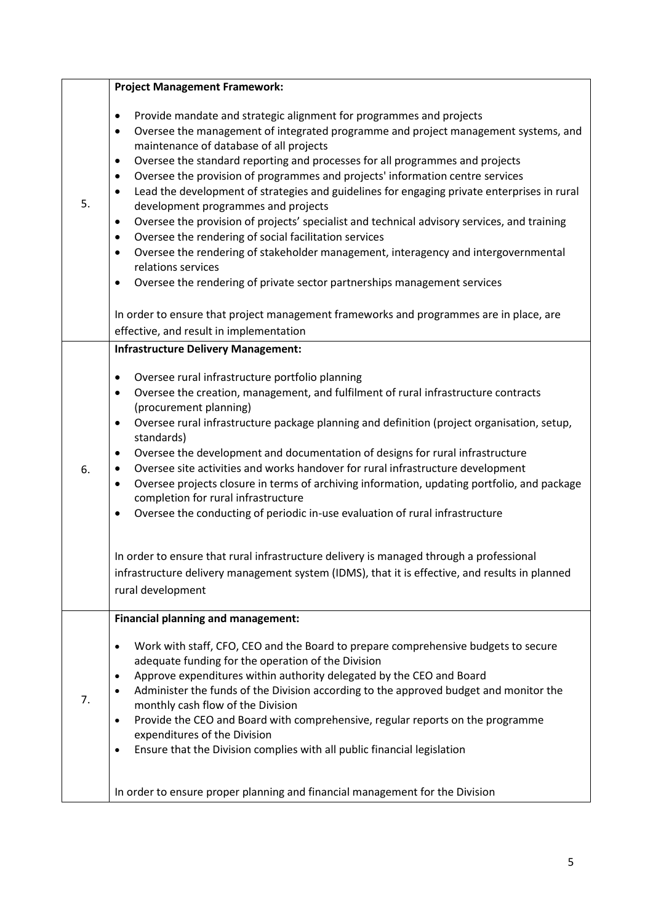|    | <b>Project Management Framework:</b>                                                                                                                                                                                                                                                                                                                                                                                                                                                                                                                                                                                                                                                                                                                                                                                                                                                                                                                                             |
|----|----------------------------------------------------------------------------------------------------------------------------------------------------------------------------------------------------------------------------------------------------------------------------------------------------------------------------------------------------------------------------------------------------------------------------------------------------------------------------------------------------------------------------------------------------------------------------------------------------------------------------------------------------------------------------------------------------------------------------------------------------------------------------------------------------------------------------------------------------------------------------------------------------------------------------------------------------------------------------------|
| 5. | Provide mandate and strategic alignment for programmes and projects<br>$\bullet$<br>Oversee the management of integrated programme and project management systems, and<br>$\bullet$<br>maintenance of database of all projects<br>Oversee the standard reporting and processes for all programmes and projects<br>$\bullet$<br>Oversee the provision of programmes and projects' information centre services<br>$\bullet$<br>Lead the development of strategies and guidelines for engaging private enterprises in rural<br>$\bullet$<br>development programmes and projects<br>Oversee the provision of projects' specialist and technical advisory services, and training<br>$\bullet$<br>Oversee the rendering of social facilitation services<br>$\bullet$<br>Oversee the rendering of stakeholder management, interagency and intergovernmental<br>$\bullet$<br>relations services<br>Oversee the rendering of private sector partnerships management services<br>$\bullet$ |
|    | In order to ensure that project management frameworks and programmes are in place, are<br>effective, and result in implementation                                                                                                                                                                                                                                                                                                                                                                                                                                                                                                                                                                                                                                                                                                                                                                                                                                                |
|    | <b>Infrastructure Delivery Management:</b>                                                                                                                                                                                                                                                                                                                                                                                                                                                                                                                                                                                                                                                                                                                                                                                                                                                                                                                                       |
| 6. | Oversee rural infrastructure portfolio planning<br>$\bullet$<br>Oversee the creation, management, and fulfilment of rural infrastructure contracts<br>$\bullet$<br>(procurement planning)<br>Oversee rural infrastructure package planning and definition (project organisation, setup,<br>$\bullet$<br>standards)<br>Oversee the development and documentation of designs for rural infrastructure<br>$\bullet$<br>Oversee site activities and works handover for rural infrastructure development<br>$\bullet$<br>Oversee projects closure in terms of archiving information, updating portfolio, and package<br>$\bullet$<br>completion for rural infrastructure<br>Oversee the conducting of periodic in-use evaluation of rural infrastructure<br>$\bullet$                                                                                                                                                                                                                 |
|    | In order to ensure that rural infrastructure delivery is managed through a professional<br>infrastructure delivery management system (IDMS), that it is effective, and results in planned<br>rural development                                                                                                                                                                                                                                                                                                                                                                                                                                                                                                                                                                                                                                                                                                                                                                   |
|    | <b>Financial planning and management:</b>                                                                                                                                                                                                                                                                                                                                                                                                                                                                                                                                                                                                                                                                                                                                                                                                                                                                                                                                        |
| 7. | Work with staff, CFO, CEO and the Board to prepare comprehensive budgets to secure<br>$\bullet$<br>adequate funding for the operation of the Division<br>Approve expenditures within authority delegated by the CEO and Board<br>$\bullet$<br>Administer the funds of the Division according to the approved budget and monitor the<br>monthly cash flow of the Division<br>Provide the CEO and Board with comprehensive, regular reports on the programme<br>$\bullet$<br>expenditures of the Division<br>Ensure that the Division complies with all public financial legislation<br>$\bullet$                                                                                                                                                                                                                                                                                                                                                                                  |
|    | In order to ensure proper planning and financial management for the Division                                                                                                                                                                                                                                                                                                                                                                                                                                                                                                                                                                                                                                                                                                                                                                                                                                                                                                     |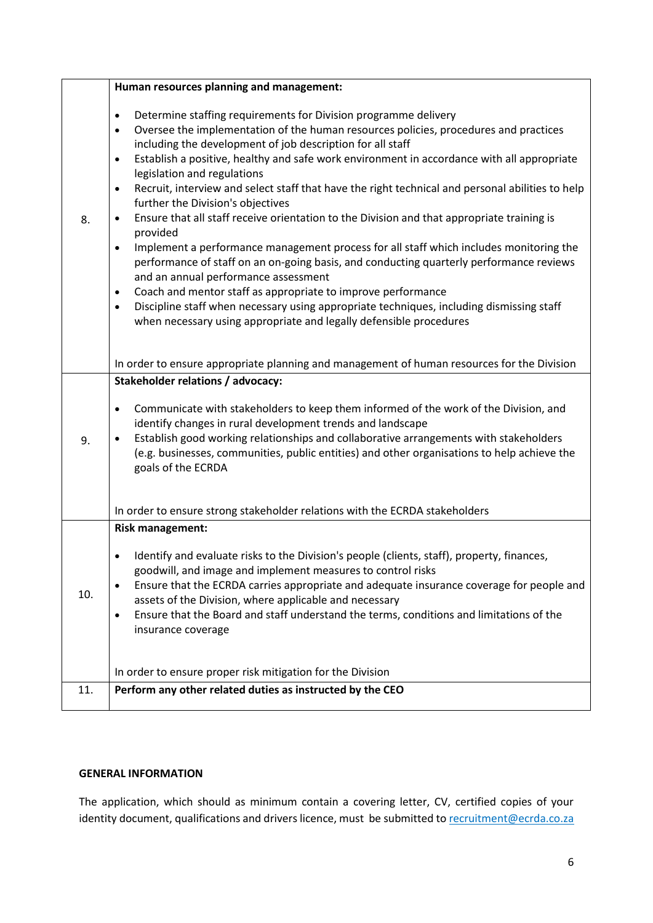|     | Human resources planning and management:                                                                                                                                                                                                                                                                                                                                                                                                                                                                                                                                                                                                                                                                                                                                                                                                                                                                                                                                                                                                                                                                                                                                     |
|-----|------------------------------------------------------------------------------------------------------------------------------------------------------------------------------------------------------------------------------------------------------------------------------------------------------------------------------------------------------------------------------------------------------------------------------------------------------------------------------------------------------------------------------------------------------------------------------------------------------------------------------------------------------------------------------------------------------------------------------------------------------------------------------------------------------------------------------------------------------------------------------------------------------------------------------------------------------------------------------------------------------------------------------------------------------------------------------------------------------------------------------------------------------------------------------|
| 8.  | Determine staffing requirements for Division programme delivery<br>$\bullet$<br>Oversee the implementation of the human resources policies, procedures and practices<br>$\bullet$<br>including the development of job description for all staff<br>Establish a positive, healthy and safe work environment in accordance with all appropriate<br>$\bullet$<br>legislation and regulations<br>Recruit, interview and select staff that have the right technical and personal abilities to help<br>$\bullet$<br>further the Division's objectives<br>Ensure that all staff receive orientation to the Division and that appropriate training is<br>$\bullet$<br>provided<br>Implement a performance management process for all staff which includes monitoring the<br>$\bullet$<br>performance of staff on an on-going basis, and conducting quarterly performance reviews<br>and an annual performance assessment<br>Coach and mentor staff as appropriate to improve performance<br>$\bullet$<br>Discipline staff when necessary using appropriate techniques, including dismissing staff<br>$\bullet$<br>when necessary using appropriate and legally defensible procedures |
|     | In order to ensure appropriate planning and management of human resources for the Division                                                                                                                                                                                                                                                                                                                                                                                                                                                                                                                                                                                                                                                                                                                                                                                                                                                                                                                                                                                                                                                                                   |
| 9.  | <b>Stakeholder relations / advocacy:</b><br>Communicate with stakeholders to keep them informed of the work of the Division, and<br>$\bullet$<br>identify changes in rural development trends and landscape<br>Establish good working relationships and collaborative arrangements with stakeholders<br>(e.g. businesses, communities, public entities) and other organisations to help achieve the<br>goals of the ECRDA                                                                                                                                                                                                                                                                                                                                                                                                                                                                                                                                                                                                                                                                                                                                                    |
|     | In order to ensure strong stakeholder relations with the ECRDA stakeholders                                                                                                                                                                                                                                                                                                                                                                                                                                                                                                                                                                                                                                                                                                                                                                                                                                                                                                                                                                                                                                                                                                  |
| 10. | <b>Risk management:</b><br>Identify and evaluate risks to the Division's people (clients, staff), property, finances,<br>goodwill, and image and implement measures to control risks<br>Ensure that the ECRDA carries appropriate and adequate insurance coverage for people and<br>$\bullet$<br>assets of the Division, where applicable and necessary<br>Ensure that the Board and staff understand the terms, conditions and limitations of the<br>٠<br>insurance coverage                                                                                                                                                                                                                                                                                                                                                                                                                                                                                                                                                                                                                                                                                                |
| 11. | In order to ensure proper risk mitigation for the Division<br>Perform any other related duties as instructed by the CEO                                                                                                                                                                                                                                                                                                                                                                                                                                                                                                                                                                                                                                                                                                                                                                                                                                                                                                                                                                                                                                                      |
|     |                                                                                                                                                                                                                                                                                                                                                                                                                                                                                                                                                                                                                                                                                                                                                                                                                                                                                                                                                                                                                                                                                                                                                                              |

# **GENERAL INFORMATION**

The application, which should as minimum contain a covering letter, CV, certified copies of your identity document, qualifications and drivers licence, must be submitted t[o recruitment@ecrda.co.za](mailto:recruitment@ecrda.co.za)